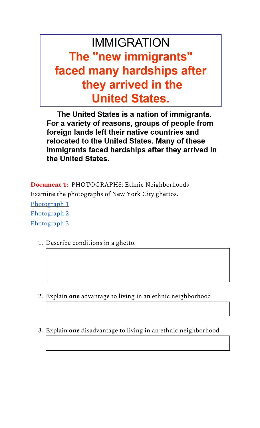# **IMMIGRATION** The "new immigrants" faced many hardships after they arrived in the **United States.**

The United States is a nation of immigrants. For a variety of reasons, groups of people from foreign lands left their native countries and relocated to the United States. Many of these immigrants faced hardships after they arrived in the United States.

**Document 1:**  PHOTOGRAPHS: Ethnic Neighborhoods Examine the photographs of New York City ghettos. [Photograph 1](https://drive.google.com/file/d/1Th7poYeOan6XjXH3N7eN6a4J3ATFVibH/view?usp=sharing) [Photograph 2](https://drive.google.com/file/d/1-KgFBrZ7vgvEbC20WMDTN8tTzCVPr36Q/view?usp=sharing) [Photograph 3](https://drive.google.com/file/d/1z8EWFSMPNQlWEBQNBLhpDIjgBvoEvxAu/view?usp=sharing)

1. Describe conditions in a ghetto.

- 2. Explain **one** advantage to living in an ethnic neighborhood
- 3. Explain **one** disadvantage to living in an ethnic neighborhood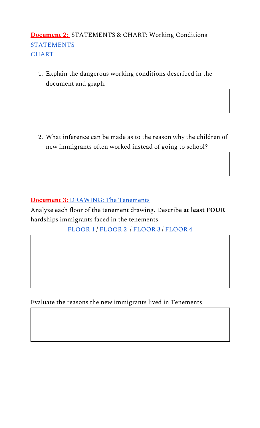# **Document 2:**  STATEMENTS & CHART: Working Conditions **[STATEMENTS](https://drive.google.com/file/d/1UGxJwhBuXtNCL9ikr7npzc2IelyIIqyR/view?usp=sharing)** [CHART](https://drive.google.com/file/d/1Msp9sLtjK7JirHsMy4Tkx2P2x3FwUHJ3/view?usp=sharing)

1. Explain the dangerous working conditions described in the document and graph.

2. What inference can be made as to the reason why the children of new immigrants often worked instead of going to school?

### **[Document 3:](https://drive.google.com/file/d/15NiAAOZSzrNsCfTdPr7JPoFCVRTmmwjX/view?usp=sharing)** [DRAWING: The Tenements](https://drive.google.com/file/d/15NiAAOZSzrNsCfTdPr7JPoFCVRTmmwjX/view?usp=sharing)

Analyze each floor of the tenement drawing. Describe **at least FOUR** hardships immigrants faced in the tenements.

[FLOOR 1](https://drive.google.com/file/d/1-R09CTAaEuZIAMu6AlQjYUFIqxbKDJIo/view?usp=sharing) / [FLOOR 2](https://drive.google.com/file/d/15ITgxt9yjFCbQRkEbUm0XEDJwk16oX0E/view?usp=sharing) / [FLOOR 3](https://drive.google.com/file/d/1wc6OwbFCTeomdqLYR4-bIEcygOr5XP_4/view?usp=sharing) / [FLOOR 4](https://drive.google.com/file/d/1VSlhfKKXekZvTtVqzadvXBrtg4vh_vUi/view?usp=sharing)

Evaluate the reasons the new immigrants lived in Tenements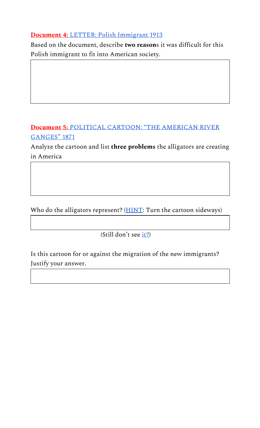#### **[Document 4:](https://drive.google.com/file/d/1n6B3ULxr4o_EAocnlWNBYPKtJSvyb2Sx/view?usp=sharing)** [LETTER: Polish Immigrant 1913](https://drive.google.com/file/d/1n6B3ULxr4o_EAocnlWNBYPKtJSvyb2Sx/view?usp=sharing)

Based on the document, describe **two reason**s it was difficult for this Polish immigrant to fit into American society.

# **[Document 5:](https://drive.google.com/file/d/1vEMeawHVvuW3--iko4Oa2FA8F7Ub1ZX4/view?usp=sharing)** [POLITICAL CARTOON: "THE AMERICAN RIVER](https://drive.google.com/file/d/1vEMeawHVvuW3--iko4Oa2FA8F7Ub1ZX4/view?usp=sharing) **GANGES**" 1871

Analyze the cartoon and list **three problems** the alligators are creating in America

Who do the alligators represent? ([HINT](https://drive.google.com/file/d/1Q2_rOi9Tk6w7PxCwuo0dmFHj1oGaMDW3/view?usp=sharing): Turn the cartoon sideways)

(Still don't see [it?](https://drive.google.com/file/d/1xL0-S4efWJ5-vXXjYdCWHbC2pELjDrpW/view?usp=sharing))

Is this cartoon for or against the migration of the new immigrants? Justify your answer.